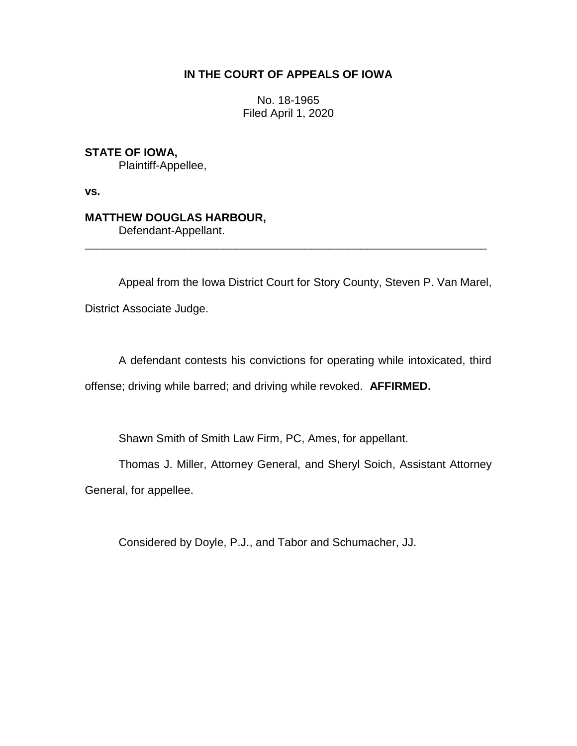## **IN THE COURT OF APPEALS OF IOWA**

No. 18-1965 Filed April 1, 2020

**STATE OF IOWA,**

Plaintiff-Appellee,

**vs.**

# **MATTHEW DOUGLAS HARBOUR,**

Defendant-Appellant.

Appeal from the Iowa District Court for Story County, Steven P. Van Marel, District Associate Judge.

\_\_\_\_\_\_\_\_\_\_\_\_\_\_\_\_\_\_\_\_\_\_\_\_\_\_\_\_\_\_\_\_\_\_\_\_\_\_\_\_\_\_\_\_\_\_\_\_\_\_\_\_\_\_\_\_\_\_\_\_\_\_\_\_

A defendant contests his convictions for operating while intoxicated, third offense; driving while barred; and driving while revoked. **AFFIRMED.**

Shawn Smith of Smith Law Firm, PC, Ames, for appellant.

Thomas J. Miller, Attorney General, and Sheryl Soich, Assistant Attorney

General, for appellee.

Considered by Doyle, P.J., and Tabor and Schumacher, JJ.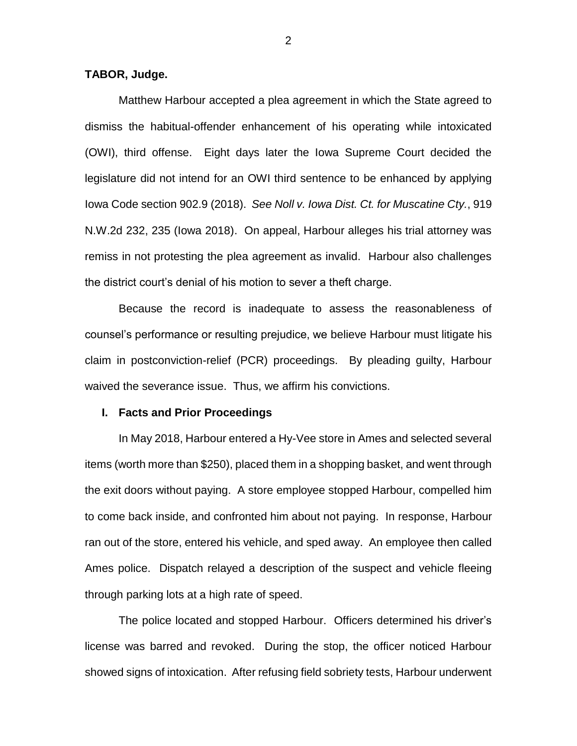### **TABOR, Judge.**

Matthew Harbour accepted a plea agreement in which the State agreed to dismiss the habitual-offender enhancement of his operating while intoxicated (OWI), third offense. Eight days later the Iowa Supreme Court decided the legislature did not intend for an OWI third sentence to be enhanced by applying Iowa Code section 902.9 (2018). *See Noll v. Iowa Dist. Ct. for Muscatine Cty.*, 919 N.W.2d 232, 235 (Iowa 2018). On appeal, Harbour alleges his trial attorney was remiss in not protesting the plea agreement as invalid. Harbour also challenges the district court's denial of his motion to sever a theft charge.

Because the record is inadequate to assess the reasonableness of counsel's performance or resulting prejudice, we believe Harbour must litigate his claim in postconviction-relief (PCR) proceedings. By pleading guilty, Harbour waived the severance issue. Thus, we affirm his convictions.

## **I. Facts and Prior Proceedings**

In May 2018, Harbour entered a Hy-Vee store in Ames and selected several items (worth more than \$250), placed them in a shopping basket, and went through the exit doors without paying. A store employee stopped Harbour, compelled him to come back inside, and confronted him about not paying. In response, Harbour ran out of the store, entered his vehicle, and sped away. An employee then called Ames police. Dispatch relayed a description of the suspect and vehicle fleeing through parking lots at a high rate of speed.

The police located and stopped Harbour. Officers determined his driver's license was barred and revoked. During the stop, the officer noticed Harbour showed signs of intoxication. After refusing field sobriety tests, Harbour underwent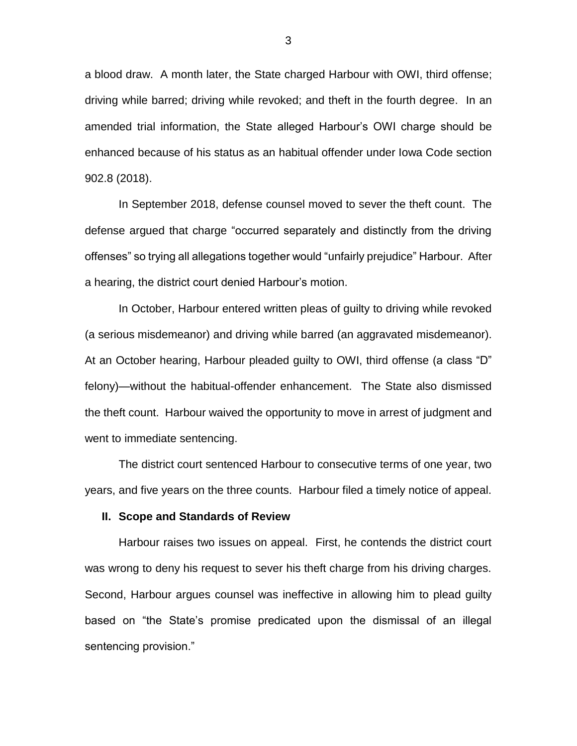a blood draw. A month later, the State charged Harbour with OWI, third offense; driving while barred; driving while revoked; and theft in the fourth degree. In an amended trial information, the State alleged Harbour's OWI charge should be enhanced because of his status as an habitual offender under Iowa Code section 902.8 (2018).

In September 2018, defense counsel moved to sever the theft count. The defense argued that charge "occurred separately and distinctly from the driving offenses" so trying all allegations together would "unfairly prejudice" Harbour. After a hearing, the district court denied Harbour's motion.

In October, Harbour entered written pleas of guilty to driving while revoked (a serious misdemeanor) and driving while barred (an aggravated misdemeanor). At an October hearing, Harbour pleaded guilty to OWI, third offense (a class "D" felony)—without the habitual-offender enhancement. The State also dismissed the theft count. Harbour waived the opportunity to move in arrest of judgment and went to immediate sentencing.

The district court sentenced Harbour to consecutive terms of one year, two years, and five years on the three counts. Harbour filed a timely notice of appeal.

#### **II. Scope and Standards of Review**

Harbour raises two issues on appeal. First, he contends the district court was wrong to deny his request to sever his theft charge from his driving charges. Second, Harbour argues counsel was ineffective in allowing him to plead guilty based on "the State's promise predicated upon the dismissal of an illegal sentencing provision."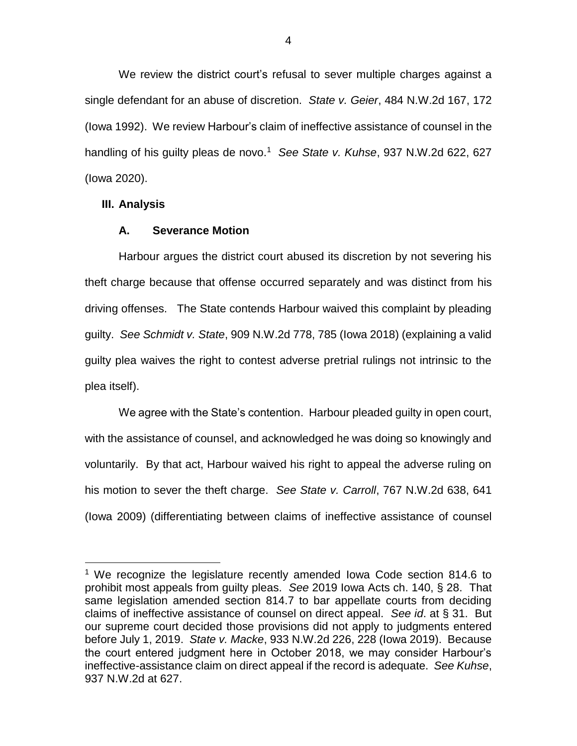We review the district court's refusal to sever multiple charges against a single defendant for an abuse of discretion. *State v. Geier*, 484 N.W.2d 167, 172 (Iowa 1992). We review Harbour's claim of ineffective assistance of counsel in the handling of his guilty pleas de novo.<sup>1</sup> *See State v. Kuhse*, 937 N.W.2d 622, 627 (Iowa 2020).

## **III. Analysis**

 $\overline{a}$ 

## **A. Severance Motion**

Harbour argues the district court abused its discretion by not severing his theft charge because that offense occurred separately and was distinct from his driving offenses. The State contends Harbour waived this complaint by pleading guilty. *See Schmidt v. State*, 909 N.W.2d 778, 785 (Iowa 2018) (explaining a valid guilty plea waives the right to contest adverse pretrial rulings not intrinsic to the plea itself).

We agree with the State's contention. Harbour pleaded guilty in open court, with the assistance of counsel, and acknowledged he was doing so knowingly and voluntarily. By that act, Harbour waived his right to appeal the adverse ruling on his motion to sever the theft charge. *See State v. Carroll*, 767 N.W.2d 638, 641 (Iowa 2009) (differentiating between claims of ineffective assistance of counsel

<sup>&</sup>lt;sup>1</sup> We recognize the legislature recently amended Iowa Code section 814.6 to prohibit most appeals from guilty pleas. *See* 2019 Iowa Acts ch. 140, § 28. That same legislation amended section 814.7 to bar appellate courts from deciding claims of ineffective assistance of counsel on direct appeal. *See id*. at § 31. But our supreme court decided those provisions did not apply to judgments entered before July 1, 2019. *State v. Macke*, 933 N.W.2d 226, 228 (Iowa 2019). Because the court entered judgment here in October 2018, we may consider Harbour's ineffective-assistance claim on direct appeal if the record is adequate. *See Kuhse*, 937 N.W.2d at 627.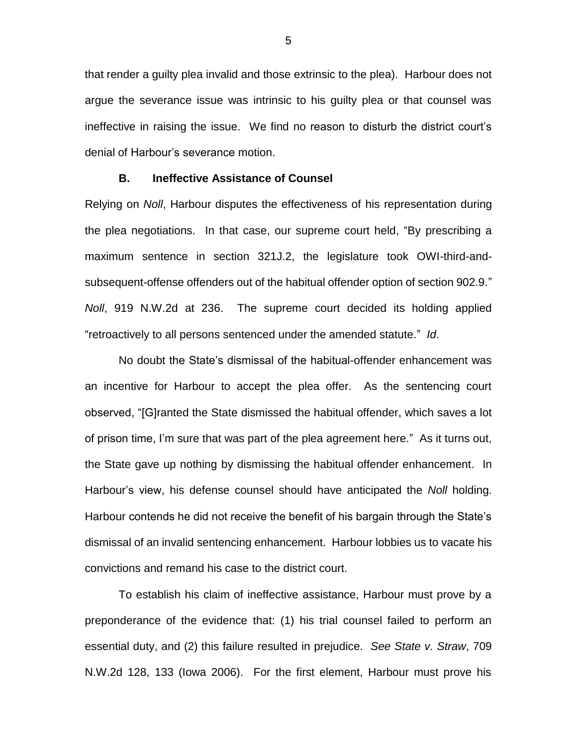that render a guilty plea invalid and those extrinsic to the plea). Harbour does not argue the severance issue was intrinsic to his guilty plea or that counsel was ineffective in raising the issue. We find no reason to disturb the district court's denial of Harbour's severance motion.

#### **B. Ineffective Assistance of Counsel**

Relying on *Noll*, Harbour disputes the effectiveness of his representation during the plea negotiations. In that case, our supreme court held, "By prescribing a maximum sentence in section 321J.2, the legislature took OWI-third-andsubsequent-offense offenders out of the habitual offender option of section 902.9." *Noll*, 919 N.W.2d at 236. The supreme court decided its holding applied "retroactively to all persons sentenced under the amended statute." *Id*.

No doubt the State's dismissal of the habitual-offender enhancement was an incentive for Harbour to accept the plea offer. As the sentencing court observed, "[G]ranted the State dismissed the habitual offender, which saves a lot of prison time, I'm sure that was part of the plea agreement here." As it turns out, the State gave up nothing by dismissing the habitual offender enhancement. In Harbour's view, his defense counsel should have anticipated the *Noll* holding. Harbour contends he did not receive the benefit of his bargain through the State's dismissal of an invalid sentencing enhancement. Harbour lobbies us to vacate his convictions and remand his case to the district court.

To establish his claim of ineffective assistance, Harbour must prove by a preponderance of the evidence that: (1) his trial counsel failed to perform an essential duty, and (2) this failure resulted in prejudice. *See State v. Straw*, 709 N.W.2d 128, 133 (Iowa 2006). For the first element, Harbour must prove his

5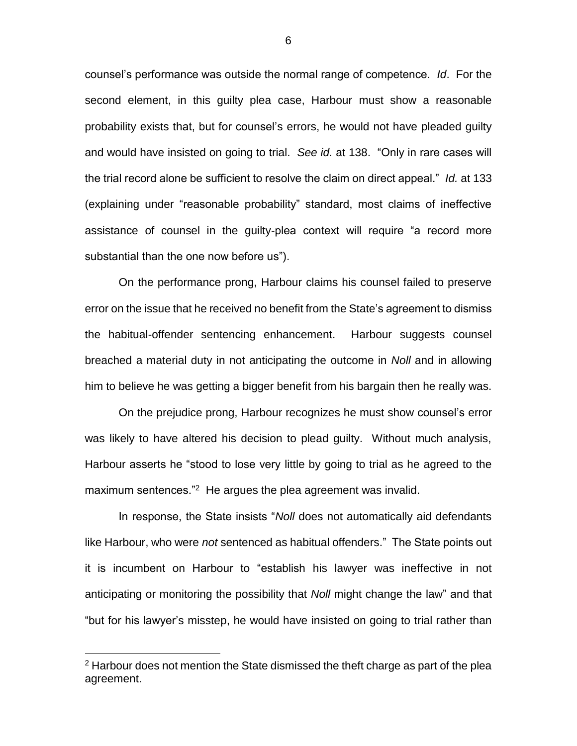counsel's performance was outside the normal range of competence. *Id*. For the second element, in this guilty plea case, Harbour must show a reasonable probability exists that, but for counsel's errors, he would not have pleaded guilty and would have insisted on going to trial. *See id.* at 138. "Only in rare cases will the trial record alone be sufficient to resolve the claim on direct appeal." *Id.* at 133 (explaining under "reasonable probability" standard, most claims of ineffective assistance of counsel in the guilty-plea context will require "a record more substantial than the one now before us").

On the performance prong, Harbour claims his counsel failed to preserve error on the issue that he received no benefit from the State's agreement to dismiss the habitual-offender sentencing enhancement. Harbour suggests counsel breached a material duty in not anticipating the outcome in *Noll* and in allowing him to believe he was getting a bigger benefit from his bargain then he really was.

On the prejudice prong, Harbour recognizes he must show counsel's error was likely to have altered his decision to plead guilty. Without much analysis, Harbour asserts he "stood to lose very little by going to trial as he agreed to the maximum sentences."<sup>2</sup> He argues the plea agreement was invalid.

In response, the State insists "*Noll* does not automatically aid defendants like Harbour, who were *not* sentenced as habitual offenders." The State points out it is incumbent on Harbour to "establish his lawyer was ineffective in not anticipating or monitoring the possibility that *Noll* might change the law" and that "but for his lawyer's misstep, he would have insisted on going to trial rather than

 $\overline{a}$ 

 $2$  Harbour does not mention the State dismissed the theft charge as part of the plea agreement.